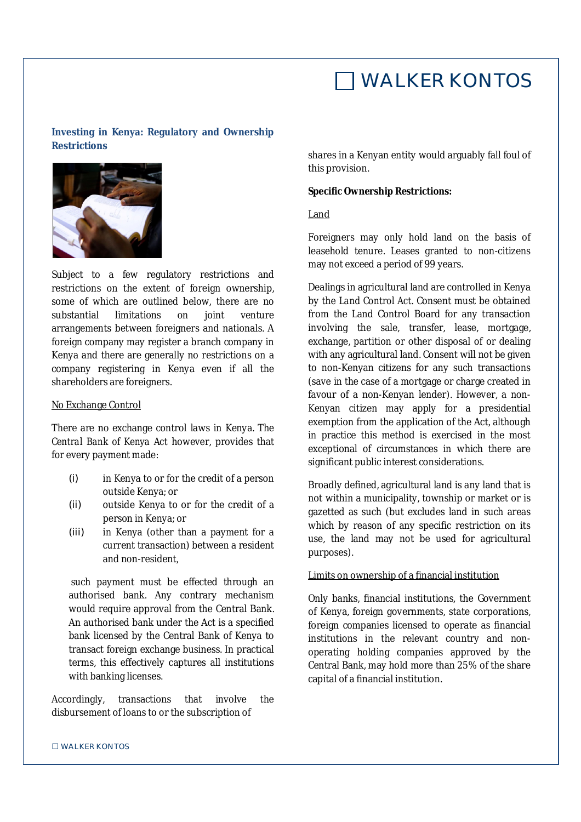## WALKER KONTOS

## **Investing in Kenya: Regulatory and Ownership Restrictions**



Subject to a few regulatory restrictions and restrictions on the extent of foreign ownership, some of which are outlined below, there are no substantial limitations on joint venture arrangements between foreigners and nationals. A foreign company may register a branch company in Kenya and there are generally no restrictions on a company registering in Kenya even if all the shareholders are foreigners.

### No Exchange Control

There are no exchange control laws in Kenya. The *Central Bank of Kenya Act* however, provides that for every payment made:

- (i) in Kenya to or for the credit of a person outside Kenya; or
- (ii) outside Kenya to or for the credit of a person in Kenya; or
- (iii) in Kenya (other than a payment for a current transaction) between a resident and non-resident,

such payment must be effected through an authorised bank. Any contrary mechanism would require approval from the Central Bank. An authorised bank under the Act is a specified bank licensed by the Central Bank of Kenya to transact foreign exchange business. In practical terms, this effectively captures all institutions with banking licenses.

Accordingly, transactions that involve the disbursement of loans to or the subscription of

shares in a Kenyan entity would arguably fall foul of this provision.

#### *Specific Ownership Restrictions:*

#### Land

Foreigners may only hold land on the basis of leasehold tenure. Leases granted to non-citizens may not exceed a period of 99 years.

Dealings in agricultural land are controlled in Kenya by the *Land Control Act*. Consent must be obtained from the Land Control Board for any transaction involving the sale, transfer, lease, mortgage, exchange, partition or other disposal of or dealing with any agricultural land. Consent will not be given to non-Kenyan citizens for any such transactions (save in the case of a mortgage or charge created in favour of a non-Kenyan lender). However, a non-Kenyan citizen may apply for a presidential exemption from the application of the Act, although in practice this method is exercised in the most exceptional of circumstances in which there are significant public interest considerations.

Broadly defined, agricultural land is any land that is not within a municipality, township or market or is gazetted as such (but excludes land in such areas which by reason of any specific restriction on its use, the land may not be used for agricultural purposes).

## Limits on ownership of a financial institution

Only banks, financial institutions, the Government of Kenya, foreign governments, state corporations, foreign companies licensed to operate as financial institutions in the relevant country and nonoperating holding companies approved by the Central Bank, may hold more than 25% of the share capital of a financial institution.

#### □ WALKER KONTOS